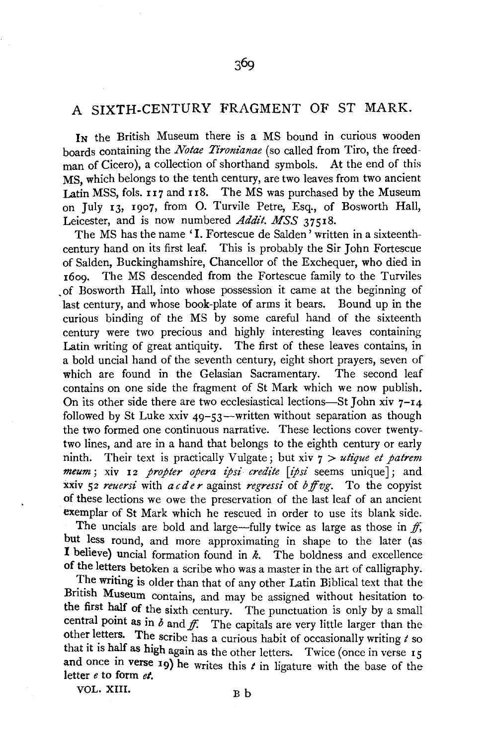## A SIXTH-CENTURY FRAGMENT OF ST MARK.

In the British Museum there is a MS bound in curious wooden boards containing the *Notae Tironianae* (so called from Tiro, the freedman of Cicero), a collection of shorthand symbols. At the end of this MS, which belongs to the tenth century, are two leaves from two ancient Latin MSS, fols. 117 and 118. The MS was purchased by the Museum on July 13, 1907, from 0. Turvile Petre, Esq., of Bosworth Hall, Leicester, and is now numbered *Addit. MSS* 37518.

The MS has the name 'I. Fortescue de Salden' written in a sixteenthcentury hand on its first leaf. This is probably the Sir John Fortescue of Salden, Buckinghamshire, Chancellor of the Exchequer, who died in r6og. The MS descended from the Fortescue family to the Turviles . of Bosworth Hall, into whose possession it came at the beginning of last century, and whose book-plate of arms it bears. Bound up in the curious binding of the MS by some careful hand of the sixteenth century were two precious and highly interesting leaves containing Latin writing of great antiquity. The first of these leaves contains, in a bold uncial hand of the seventh century, eight short prayers, seven of which are found in the Gelasian Sacramentary. The second leaf contains on one side the fragment of St Mark which we now publish. On its other side there are two ecclesiastical lections-St John xiv  $7-14$ followed by St Luke xxiv  $49-53$ —written without separation as though the two formed one continuous narrative. These lections cover twentytwo lines, and are in a hand that belongs to the eighth century or early ninth. Their text is practically Vulgate; but xiv 7 > *utique et patrem meum*; xiv 12 *propter opera ipsi credite* [*ipsi* seems unique]; and **xxiv** 52 *reuersi* with  $a \, c \, d \, e \, r$  against *regressi* of  $b \, f \, r \, v \, g$ . To the copyist of these lections we owe the preservation of the last leaf of an ancient exemplar of St Mark which he rescued in order to use its blank side.

The uncials are bold and large-fully twice as large as those in  $ff$ , but less round, and more approximating in shape to the later (as I believe) uncial formation found in  $k$ . The boldness and excellence of the letters betoken a scribe who was a master in the art of calligraphy.

The writing is older than that of any other Latin Biblical text that the British Museum contains, and may be assigned without hesitation to the first half of the sixth century. The punctuation is only by a small central point as in  $\delta$  and  $\mathcal{f}$ . The capitals are very little larger than the other letters. The scribe has a curious habit of occasionally writing  $t$  so that it is half as high again as the other letters. Twice (once in verse 15 and once in verse 19) he writes this  $t$  in ligature with the base of the letter *e* to form *et.* 

VOL. XIII. B b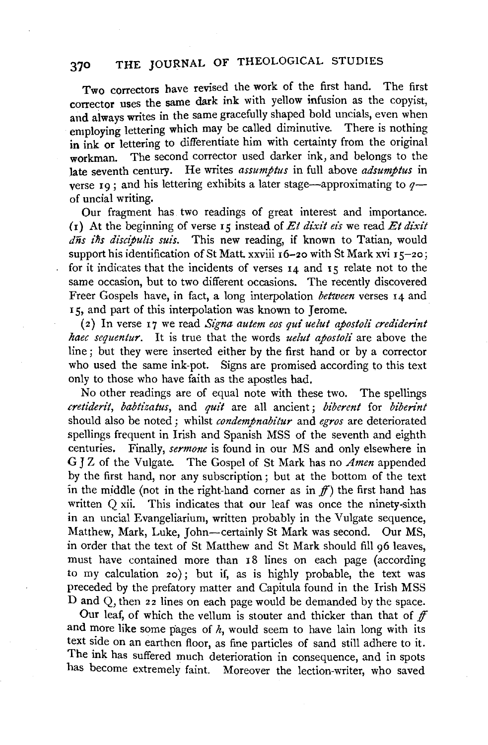## 370 THE JOURNAL OF THEOLOGICAL STUDIES

Two correctors have revised the work of the first hand. The first corrector uses the same dark ink with yellow infusion as the copyist. and always writes in the same gracefully shaped bold uncials, even when d always writes in the same gracetury shaped bord dictally, even when iploying lettering will may be called diminuive. There is hotting in ink or lettering to differentiate him with certainty from the original workman. The second corrector used darker ink, and belongs to the late seventh century. He writes *assumptus* in full above *adsumptus* in expected by the seventh century. He writes *assumptus* in full above *adsumptus* in verse 19; and his lettering exhibits a later stage—approximating to  $q$ —of uncial writing. Our fragment has two readings of great interest and importance.

*Cur tragment has two readings of great interest and importance. dns ilis discipulis suis.* This new reading, if known to Tatian, would s in assignus surface  $\frac{1}{2}$  and  $\frac{1}{2}$  with  $\frac{1}{2}$  with  $\frac{1}{2}$  with  $\frac{1}{2}$   $\frac{1}{2}$  with  $\frac{1}{2}$   $\frac{1}{2}$  with  $\frac{1}{2}$  with  $\frac{1}{2}$   $\frac{1}{2}$  with  $\frac{1}{2}$  with  $\frac{1}{2}$  with  $\frac{1}{2}$  with  $\frac{1$ pport its identification of st matt, xxviii 10–20 with st matr  $x_{1}$  15–20, It indicates that the incluents of verses  $14$  and  $15$  relate not to the Free occasion, but to two unterent occasions. The recently discovered Freer Gospels have, in fact, a long interpolation *between* verses 14 and 15, and part of this interpolation was known to Jerome. nd part of this interpolation was known to Jerome.<br>The *Signality and City and City and all apostolic apostolic credit and interior* 

(2) In verse 17 we read *Signa autem eos qui uelut apostoli crediderint* laise *sequentur*. It is true that the words *uetur aposion* are above the  $\epsilon$ , out they were inserted either by the first hand or by a corrector who used the same ink-pot. Signs are promised according to this text only to those who have faith as the apostles had.  $\frac{1}{100}$  those who have faith as the apostles had.

*cretidenally are all equal note with these two.* I he spellings cretiderit, babtizatus, and quit are all ancient; biberent for biberint should also be noted; whilst *condempnabitur* and *egros* are deteriorated  $s_{\text{out}}$  also be noted; whilst *condempnability* and *egros* are deteriorated emings irequent in first and spanish m<sub>55</sub> of the seventh and eighth centuries. Finally, *sermone* is found in our MS and only elsewhere in G J Z of the Vulgate. The Gospel of St Mark has no *Amen* appended The Gospel of St Mark has no *Amen* appended by the first hand, nor any subscription; but at the bottom of the text in the middle (not in the right-hand corner as in  $f$ ) the first hand has written O xii. This indicates that our leaf was once the ninety-sixth This indicates that our leaf was once the ninety-sixth in an uncial Evangeliarium, written probably in the Vulgate sequence, Matthew, Mark, Luke, John-certainly St Mark was second. Our MS, in order that the text of St Matthew and St Mark should fill 96 leaves, must have contained more than 18 lines on each page (according to my calculation  $20$ ; but if, as is highly probable, the text was preceded by the prefatory matter and Capitula found in the Irish MSS D and Q, then 22 lines on each page would be demanded by the space.

Our leaf, of which the vellum is stouter and thicker than that of  $f$ and more like some pages of  $k$ , would seem to have lain long with its. text side on an earthen floor, as fine particles of sand still adhere to it. The ink has suffered much deterioration in consequence, and in spots has become extremely faint. Moreover the lection-writer, who saved